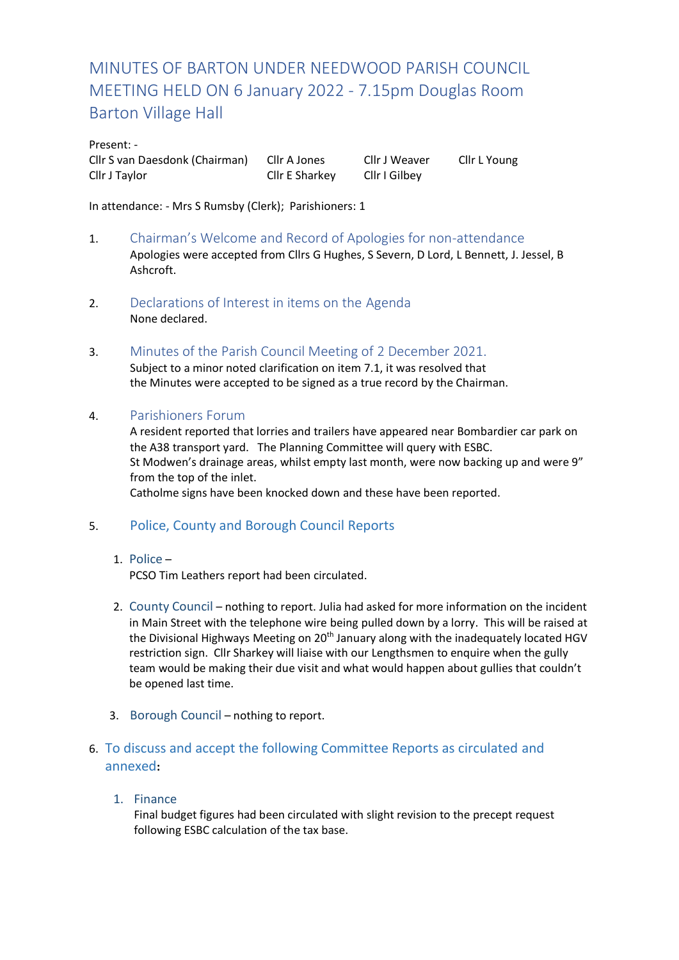# MINUTES OF BARTON UNDER NEEDWOOD PARISH COUNCIL MEETING HELD ON 6 January 2022 - 7.15pm Douglas Room Barton Village Hall

#### Present: -

Cllr S van Daesdonk (Chairman) Cllr A Jones Cllr J Weaver Cllr L Young Cllr J Taylor Cllr E Sharkey Cllr I Gilbey

In attendance: - Mrs S Rumsby (Clerk); Parishioners: 1

- 1. Chairman's Welcome and Record of Apologies for non-attendance Apologies were accepted from Cllrs G Hughes, S Severn, D Lord, L Bennett, J. Jessel, B Ashcroft.
- 2. Declarations of Interest in items on the Agenda None declared.
- 3. Minutes of the Parish Council Meeting of 2 December 2021. Subject to a minor noted clarification on item 7.1, it was resolved that the Minutes were accepted to be signed as a true record by the Chairman.

# 4. Parishioners Forum

A resident reported that lorries and trailers have appeared near Bombardier car park on the A38 transport yard. The Planning Committee will query with ESBC. St Modwen's drainage areas, whilst empty last month, were now backing up and were 9" from the top of the inlet. Catholme signs have been knocked down and these have been reported.

# 5. Police, County and Borough Council Reports

# 1. Police –

PCSO Tim Leathers report had been circulated.

- 2. County Council nothing to report. Julia had asked for more information on the incident in Main Street with the telephone wire being pulled down by a lorry. This will be raised at the Divisional Highways Meeting on 20<sup>th</sup> January along with the inadequately located HGV restriction sign. Cllr Sharkey will liaise with our Lengthsmen to enquire when the gully team would be making their due visit and what would happen about gullies that couldn't be opened last time.
- 3. Borough Council nothing to report.
- 6. To discuss and accept the following Committee Reports as circulated and annexed**:**
	- 1. Finance

Final budget figures had been circulated with slight revision to the precept request following ESBC calculation of the tax base.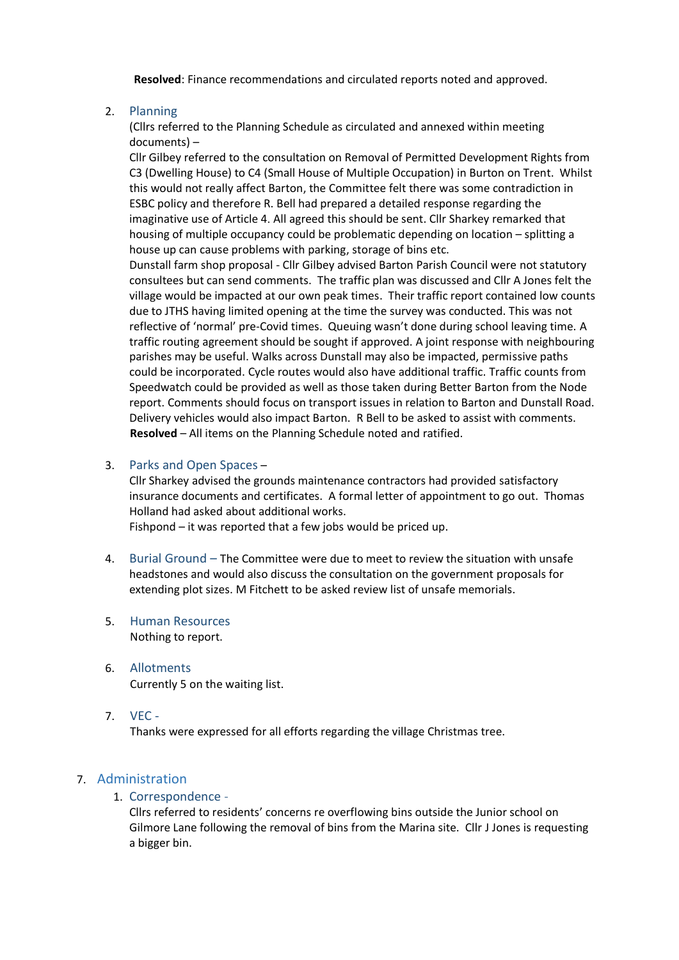**Resolved**: Finance recommendations and circulated reports noted and approved.

#### 2. Planning

(Cllrs referred to the Planning Schedule as circulated and annexed within meeting documents) –

Cllr Gilbey referred to the consultation on Removal of Permitted Development Rights from C3 (Dwelling House) to C4 (Small House of Multiple Occupation) in Burton on Trent. Whilst this would not really affect Barton, the Committee felt there was some contradiction in ESBC policy and therefore R. Bell had prepared a detailed response regarding the imaginative use of Article 4. All agreed this should be sent. Cllr Sharkey remarked that housing of multiple occupancy could be problematic depending on location – splitting a house up can cause problems with parking, storage of bins etc.

Dunstall farm shop proposal - Cllr Gilbey advised Barton Parish Council were not statutory consultees but can send comments. The traffic plan was discussed and Cllr A Jones felt the village would be impacted at our own peak times. Their traffic report contained low counts due to JTHS having limited opening at the time the survey was conducted. This was not reflective of 'normal' pre-Covid times. Queuing wasn't done during school leaving time. A traffic routing agreement should be sought if approved. A joint response with neighbouring parishes may be useful. Walks across Dunstall may also be impacted, permissive paths could be incorporated. Cycle routes would also have additional traffic. Traffic counts from Speedwatch could be provided as well as those taken during Better Barton from the Node report. Comments should focus on transport issues in relation to Barton and Dunstall Road. Delivery vehicles would also impact Barton. R Bell to be asked to assist with comments. **Resolved** – All items on the Planning Schedule noted and ratified.

#### 3. Parks and Open Spaces –

Cllr Sharkey advised the grounds maintenance contractors had provided satisfactory insurance documents and certificates. A formal letter of appointment to go out. Thomas Holland had asked about additional works.

Fishpond – it was reported that a few jobs would be priced up.

- 4. Burial Ground The Committee were due to meet to review the situation with unsafe headstones and would also discuss the consultation on the government proposals for extending plot sizes. M Fitchett to be asked review list of unsafe memorials.
- 5. Human Resources Nothing to report.
- 6. Allotments Currently 5 on the waiting list.
- 7. VEC -

Thanks were expressed for all efforts regarding the village Christmas tree.

# 7. Administration

1. Correspondence -

Cllrs referred to residents' concerns re overflowing bins outside the Junior school on Gilmore Lane following the removal of bins from the Marina site. Cllr J Jones is requesting a bigger bin.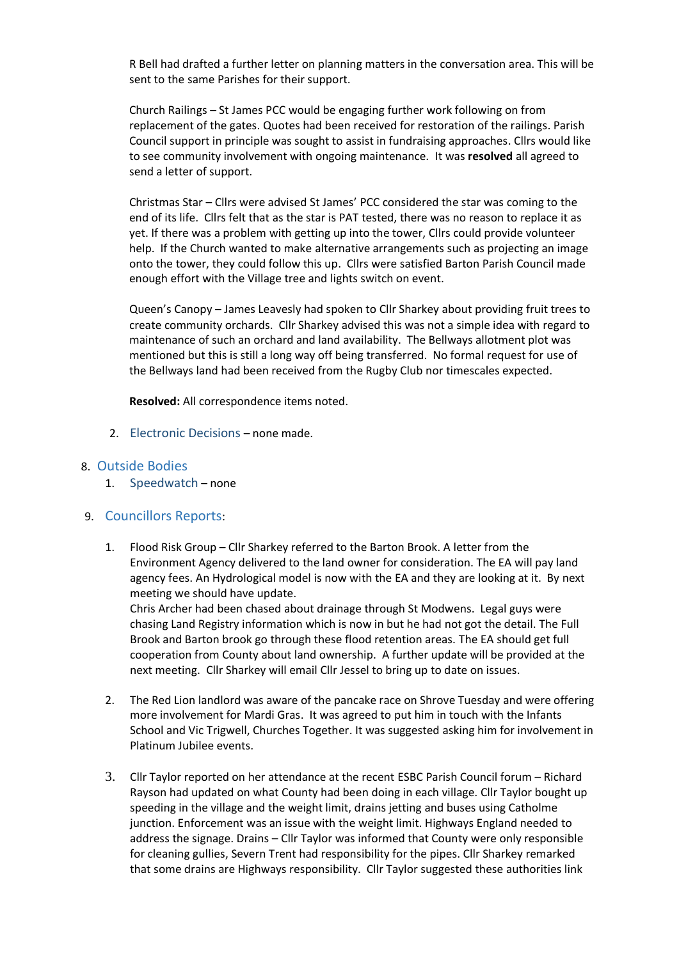R Bell had drafted a further letter on planning matters in the conversation area. This will be sent to the same Parishes for their support.

Church Railings – St James PCC would be engaging further work following on from replacement of the gates. Quotes had been received for restoration of the railings. Parish Council support in principle was sought to assist in fundraising approaches. Cllrs would like to see community involvement with ongoing maintenance. It was **resolved** all agreed to send a letter of support.

Christmas Star – Cllrs were advised St James' PCC considered the star was coming to the end of its life. Cllrs felt that as the star is PAT tested, there was no reason to replace it as yet. If there was a problem with getting up into the tower, Cllrs could provide volunteer help. If the Church wanted to make alternative arrangements such as projecting an image onto the tower, they could follow this up. Cllrs were satisfied Barton Parish Council made enough effort with the Village tree and lights switch on event.

Queen's Canopy – James Leavesly had spoken to Cllr Sharkey about providing fruit trees to create community orchards. Cllr Sharkey advised this was not a simple idea with regard to maintenance of such an orchard and land availability. The Bellways allotment plot was mentioned but this is still a long way off being transferred. No formal request for use of the Bellways land had been received from the Rugby Club nor timescales expected.

**Resolved:** All correspondence items noted.

2. Electronic Decisions – none made.

#### 8. Outside Bodies

1. Speedwatch – none

#### 9. Councillors Reports:

1. Flood Risk Group – Cllr Sharkey referred to the Barton Brook. A letter from the Environment Agency delivered to the land owner for consideration. The EA will pay land agency fees. An Hydrological model is now with the EA and they are looking at it. By next meeting we should have update.

Chris Archer had been chased about drainage through St Modwens. Legal guys were chasing Land Registry information which is now in but he had not got the detail. The Full Brook and Barton brook go through these flood retention areas. The EA should get full cooperation from County about land ownership. A further update will be provided at the next meeting. Cllr Sharkey will email Cllr Jessel to bring up to date on issues.

- 2. The Red Lion landlord was aware of the pancake race on Shrove Tuesday and were offering more involvement for Mardi Gras. It was agreed to put him in touch with the Infants School and Vic Trigwell, Churches Together. It was suggested asking him for involvement in Platinum Jubilee events.
- 3. Cllr Taylor reported on her attendance at the recent ESBC Parish Council forum Richard Rayson had updated on what County had been doing in each village. Cllr Taylor bought up speeding in the village and the weight limit, drains jetting and buses using Catholme junction. Enforcement was an issue with the weight limit. Highways England needed to address the signage. Drains – Cllr Taylor was informed that County were only responsible for cleaning gullies, Severn Trent had responsibility for the pipes. Cllr Sharkey remarked that some drains are Highways responsibility. Cllr Taylor suggested these authorities link